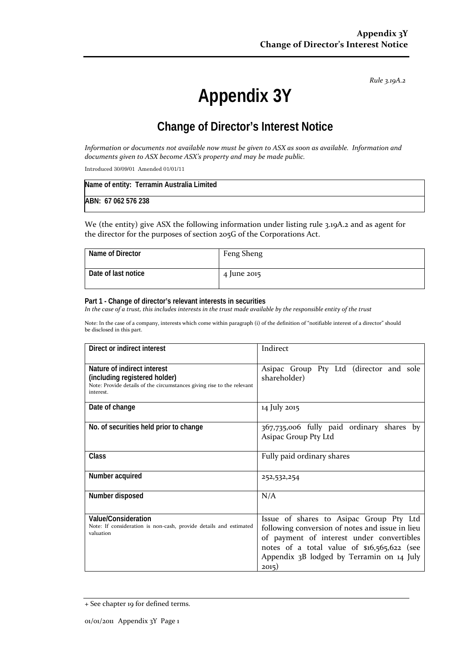*Rule 3.19A.2*

# **Appendix 3Y**

# **Change of Director's Interest Notice**

*Information or documents not available now must be given to ASX as soon as available. Information and documents given to ASX become ASX's property and may be made public.*

Introduced 30/09/01 Amended 01/01/11

| Name of entity: Terramin Australia Limited |  |
|--------------------------------------------|--|
| ABN: 67 062 576 238                        |  |

We (the entity) give ASX the following information under listing rule 3.19A.2 and as agent for the director for the purposes of section 205G of the Corporations Act.

| Name of Director    | Feng Sheng  |
|---------------------|-------------|
| Date of last notice | 4 June 2015 |

#### **Part 1 - Change of director's relevant interests in securities**

*In the case of a trust, this includes interests in the trust made available by the responsible entity of the trust*

Note: In the case of a company, interests which come within paragraph (i) of the definition of "notifiable interest of a director" should be disclosed in this part.

| Direct or indirect interest                                                                                                                         | Indirect                                                                                                                                                                                                                                     |
|-----------------------------------------------------------------------------------------------------------------------------------------------------|----------------------------------------------------------------------------------------------------------------------------------------------------------------------------------------------------------------------------------------------|
| Nature of indirect interest<br>(including registered holder)<br>Note: Provide details of the circumstances giving rise to the relevant<br>interest. | Asipac Group Pty Ltd (director and sole<br>shareholder)                                                                                                                                                                                      |
| Date of change                                                                                                                                      | 14 July 2015                                                                                                                                                                                                                                 |
| No. of securities held prior to change                                                                                                              | 367,735,006 fully paid ordinary shares by<br>Asipac Group Pty Ltd                                                                                                                                                                            |
| Class                                                                                                                                               | Fully paid ordinary shares                                                                                                                                                                                                                   |
| Number acquired                                                                                                                                     | 252,532,254                                                                                                                                                                                                                                  |
| Number disposed                                                                                                                                     | N/A                                                                                                                                                                                                                                          |
| Value/Consideration<br>Note: If consideration is non-cash, provide details and estimated<br>valuation                                               | Issue of shares to Asipac Group Pty Ltd<br>following conversion of notes and issue in lieu<br>of payment of interest under convertibles<br>notes of a total value of \$16,565,622 (see<br>Appendix 3B lodged by Terramin on 14 July<br>2015) |

<sup>+</sup> See chapter 19 for defined terms.